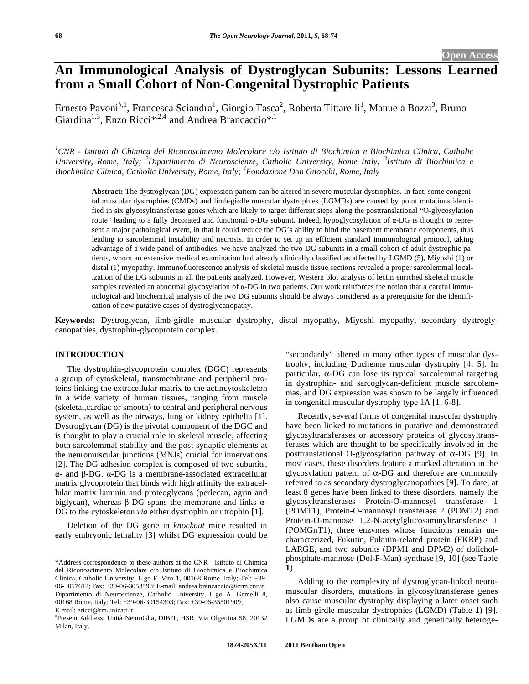# **An Immunological Analysis of Dystroglycan Subunits: Lessons Learned from a Small Cohort of Non-Congenital Dystrophic Patients**

Ernesto Pavoni<sup>#,1</sup>, Francesca Sciandra<sup>1</sup>, Giorgio Tasca<sup>2</sup>, Roberta Tittarelli<sup>1</sup>, Manuela Bozzi<sup>3</sup>, Bruno Giardina<sup>1,3</sup>, Enzo Ricci<sup>\*,2,4</sup> and Andrea Brancaccio<sup>\*,1</sup>

*1 CNR - Istituto di Chimica del Riconoscimento Molecolare c/o Istituto di Biochimica e Biochimica Clinica, Catholic University, Rome, Italy; <sup>2</sup> Dipartimento di Neuroscienze, Catholic University, Rome Italy; <sup>3</sup> Istituto di Biochimica e Biochimica Clinica, Catholic University, Rome, Italy; 4 Fondazione Don Gnocchi, Rome, Italy* 

**Abstract:** The dystroglycan (DG) expression pattern can be altered in severe muscular dystrophies. In fact, some congenital muscular dystrophies (CMDs) and limb-girdle muscular dystrophies (LGMDs) are caused by point mutations identified in six glycosyltransferase genes which are likely to target different steps along the posttranslational "O-glycosylation route" leading to a fully decorated and functional  $\alpha$ -DG subunit. Indeed, hypoglycosylation of  $\alpha$ -DG is thought to represent a major pathological event, in that it could reduce the DG's ability to bind the basement membrane components, thus leading to sarcolemmal instability and necrosis. In order to set up an efficient standard immunological protocol, taking advantage of a wide panel of antibodies, we have analyzed the two DG subunits in a small cohort of adult dystrophic patients, whom an extensive medical examination had already clinically classified as affected by LGMD (5), Miyoshi (1) or distal (1) myopathy. Immunofluorescence analysis of skeletal muscle tissue sections revealed a proper sarcolemmal localization of the DG subunits in all the patients analyzed. However, Western blot analysis of lectin enriched skeletal muscle samples revealed an abnormal glycosylation of  $\alpha$ -DG in two patients. Our work reinforces the notion that a careful immunological and biochemical analysis of the two DG subunits should be always considered as a prerequisite for the identification of new putative cases of dystroglycanopathy.

**Keywords:** Dystroglycan, limb-girdle muscular dystrophy, distal myopathy, Miyoshi myopathy, secondary dystroglycanopathies, dystrophin-glycoprotein complex.

#### **INTRODUCTION**

The dystrophin-glycoprotein complex (DGC) represents a group of cytoskeletal, transmembrane and peripheral proteins linking the extracellular matrix to the actincytoskeleton in a wide variety of human tissues, ranging from muscle (skeletal,cardiac or smooth) to central and peripheral nervous system, as well as the airways, lung or kidney epithelia [1]. Dystroglycan (DG) is the pivotal component of the DGC and is thought to play a crucial role in skeletal muscle, affecting both sarcolemmal stability and the post-synaptic elements at the neuromuscular junctions (MNJs) crucial for innervations [2]. The DG adhesion complex is composed of two subunits,  $\alpha$ - and  $\beta$ -DG.  $\alpha$ -DG is a membrane-associated extracellular matrix glycoprotein that binds with high affinity the extracellular matrix laminin and proteoglycans (perlecan, agrin and biglycan), whereas  $\beta$ -DG spans the membrane and links  $\alpha$ -DG to the cytoskeleton *via* either dystrophin or utrophin [1].

Deletion of the DG gene in *knockout* mice resulted in early embryonic lethality [3] whilst DG expression could be "secondarily" altered in many other types of muscular dystrophy, including Duchenne muscular dystrophy [4, 5]. In particular,  $\alpha$ -DG can lose its typical sarcolemmal targeting in dystrophin- and sarcoglycan-deficient muscle sarcolemmas, and DG expression was shown to be largely influenced in congenital muscular dystrophy type 1A [1, 6-8].

Recently, several forms of congenital muscular dystrophy have been linked to mutations in putative and demonstrated glycosyltransferases or accessory proteins of glycosyltransferases which are thought to be specifically involved in the posttranslational O-glycosylation pathway of  $\alpha$ -DG [9]. In most cases, these disorders feature a marked alteration in the glycosylation pattern of  $\alpha$ -DG and therefore are commonly referred to as secondary dystroglycanopathies [9]. To date, at least 8 genes have been linked to these disorders, namely the glycosyltransferases Protein-O-mannosyl transferase 1 (POMT1), Protein-O-mannosyl transferase 2 (POMT2) and Protein-O-mannose 1,2-N-acetylglucosaminyltransferase 1 (POMGnT1), three enzymes whose functions remain uncharacterized, Fukutin, Fukutin-related protein (FKRP) and LARGE, and two subunits (DPM1 and DPM2) of dolicholphosphate-mannose (Dol-P-Man) synthase [9, 10] (see Table **1**).

Adding to the complexity of dystroglycan-linked neuromuscular disorders, mutations in glycosyltransferase genes also cause muscular dystrophy displaying a later onset such as limb-girdle muscular dystrophies (LGMD) (Table **1**) [9]. LGMDs are a group of clinically and genetically heteroge-

<sup>\*</sup>Address correspondence to these authors at the CNR - Istituto di Chimica del Riconoscimento Molecolare c/o Istituto di Biochimica e Biochimica Clinica, Catholic University, L.go F. Vito 1, 00168 Rome, Italy; Tel: +39- 06-3057612; Fax: +39-06-3053598; E-mail: andrea.brancaccio@icrm.cnr.it Dipartimento di Neuroscienze, Catholic University, L.go A. Gemelli 8, 00168 Rome, Italy; Tel: +39-06-30154303; Fax: +39-06-35501909; E-mail: ericci@rm.unicatt.it

<sup>#</sup> Present Address: Unità NeuroGlia, DIBIT, HSR, Via Olgettina 58, 20132 Milan, Italy.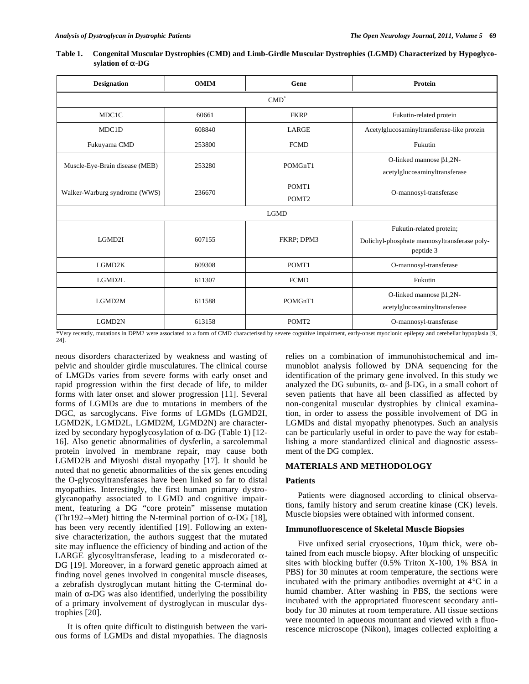| Table 1. | Congenital Muscular Dystrophies (CMD) and Limb-Girdle Muscular Dystrophies (LGMD) Characterized by Hypoglyco- |
|----------|---------------------------------------------------------------------------------------------------------------|
|          | sylation of $\alpha$ -DG                                                                                      |

| <b>OMIM</b><br><b>Designation</b>     |        | Gene                       | Protein                                                                               |  |  |  |  |  |  |
|---------------------------------------|--------|----------------------------|---------------------------------------------------------------------------------------|--|--|--|--|--|--|
| $CMD^*$                               |        |                            |                                                                                       |  |  |  |  |  |  |
| MDC1C                                 | 60661  | <b>FKRP</b>                | Fukutin-related protein                                                               |  |  |  |  |  |  |
| MDC1D                                 | 608840 | LARGE                      | Acetylglucosaminyltransferase-like protein                                            |  |  |  |  |  |  |
| <b>FCMD</b><br>Fukuyama CMD<br>253800 |        |                            | Fukutin                                                                               |  |  |  |  |  |  |
| Muscle-Eye-Brain disease (MEB)        | 253280 | POMGnT1                    | O-linked mannose $\beta$ 1,2N-<br>acetylglucosaminyltransferase                       |  |  |  |  |  |  |
| Walker-Warburg syndrome (WWS)         | 236670 | POMT1<br>POMT <sub>2</sub> | O-mannosyl-transferase                                                                |  |  |  |  |  |  |
| <b>LGMD</b>                           |        |                            |                                                                                       |  |  |  |  |  |  |
| LGMD2I                                | 607155 | FKRP; DPM3                 | Fukutin-related protein;<br>Dolichyl-phosphate mannosyltransferase poly-<br>peptide 3 |  |  |  |  |  |  |
| POMT1<br>LGMD2K<br>609308             |        |                            | O-mannosyl-transferase                                                                |  |  |  |  |  |  |
| LGMD2L                                | 611307 | <b>FCMD</b><br>Fukutin     |                                                                                       |  |  |  |  |  |  |
| LGMD2M                                | 611588 | POMGnT1                    | O-linked mannose $\beta$ 1,2N-<br>acetylglucosaminyltransferase                       |  |  |  |  |  |  |
| LGMD2N                                | 613158 | POMT <sub>2</sub>          | O-mannosyl-transferase                                                                |  |  |  |  |  |  |

\*Very recently, mutations in DPM2 were associated to a form of CMD characterised by severe cognitive impairment, early-onset myoclonic epilepsy and cerebellar hypoplasia [9, 24].

neous disorders characterized by weakness and wasting of pelvic and shoulder girdle musculatures. The clinical course of LMGDs varies from severe forms with early onset and rapid progression within the first decade of life, to milder forms with later onset and slower progression [11]. Several forms of LGMDs are due to mutations in members of the DGC, as sarcoglycans. Five forms of LGMDs (LGMD2I, LGMD2K, LGMD2L, LGMD2M, LGMD2N) are characterized by secondary hypoglycosylation of  $\alpha$ -DG (Table 1) [12-16]. Also genetic abnormalities of dysferlin, a sarcolemmal protein involved in membrane repair, may cause both LGMD2B and Miyoshi distal myopathy [17]. It should be noted that no genetic abnormalities of the six genes encoding the O-glycosyltransferases have been linked so far to distal myopathies. Interestingly, the first human primary dystroglycanopathy associated to LGMD and cognitive impairment, featuring a DG "core protein" missense mutation (Thr192 $\rightarrow$ Met) hitting the N-terminal portion of  $\alpha$ -DG [18], has been very recently identified [19]. Following an extensive characterization, the authors suggest that the mutated site may influence the efficiency of binding and action of the LARGE glycosyltransferase, leading to a misdecorated  $\alpha$ -DG [19]. Moreover, in a forward genetic approach aimed at finding novel genes involved in congenital muscle diseases, a zebrafish dystroglycan mutant hitting the C-terminal domain of  $\alpha$ -DG was also identified, underlying the possibility of a primary involvement of dystroglycan in muscular dystrophies [20].

It is often quite difficult to distinguish between the various forms of LGMDs and distal myopathies. The diagnosis relies on a combination of immunohistochemical and immunoblot analysis followed by DNA sequencing for the identification of the primary gene involved. In this study we analyzed the DG subunits,  $\alpha$ - and  $\beta$ -DG, in a small cohort of seven patients that have all been classified as affected by non-congenital muscular dystrophies by clinical examination, in order to assess the possible involvement of DG in LGMDs and distal myopathy phenotypes. Such an analysis can be particularly useful in order to pave the way for establishing a more standardized clinical and diagnostic assessment of the DG complex.

# **MATERIALS AND METHODOLOGY**

#### **Patients**

Patients were diagnosed according to clinical observations, family history and serum creatine kinase (CK) levels. Muscle biopsies were obtained with informed consent.

#### **Immunofluorescence of Skeletal Muscle Biopsies**

Five unfixed serial cryosections, 10μm thick, were obtained from each muscle biopsy. After blocking of unspecific sites with blocking buffer (0.5% Triton X-100, 1% BSA in PBS) for 30 minutes at room temperature, the sections were incubated with the primary antibodies overnight at 4°C in a humid chamber. After washing in PBS, the sections were incubated with the appropriated fluorescent secondary antibody for 30 minutes at room temperature. All tissue sections were mounted in aqueous mountant and viewed with a fluorescence microscope (Nikon), images collected exploiting a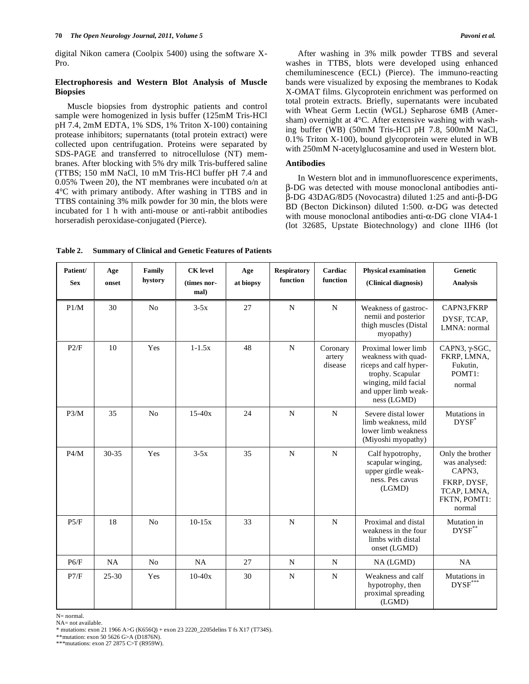digital Nikon camera (Coolpix 5400) using the software X-Pro.

# **Electrophoresis and Western Blot Analysis of Muscle Biopsies**

Muscle biopsies from dystrophic patients and control sample were homogenized in lysis buffer (125mM Tris-HCl pH 7.4, 2mM EDTA, 1% SDS, 1% Triton X-100) containing protease inhibitors; supernatants (total protein extract) were collected upon centrifugation. Proteins were separated by SDS-PAGE and transferred to nitrocellulose (NT) membranes. After blocking with 5% dry milk Tris-buffered saline (TTBS; 150 mM NaCl, 10 mM Tris-HCl buffer pH 7.4 and 0.05% Tween 20), the NT membranes were incubated o/n at 4°C with primary antibody. After washing in TTBS and in TTBS containing 3% milk powder for 30 min, the blots were incubated for 1 h with anti-mouse or anti-rabbit antibodies horseradish peroxidase-conjugated (Pierce).

After washing in 3% milk powder TTBS and several washes in TTBS, blots were developed using enhanced chemiluminescence (ECL) (Pierce). The immuno-reacting bands were visualized by exposing the membranes to Kodak X-OMAT films. Glycoprotein enrichment was performed on total protein extracts. Briefly, supernatants were incubated with Wheat Germ Lectin (WGL) Sepharose 6MB (Amersham) overnight at 4°C. After extensive washing with washing buffer (WB) (50mM Tris-HCl pH 7.8, 500mM NaCl, 0.1% Triton X-100), bound glycoprotein were eluted in WB with 250mM N-acetylglucosamine and used in Western blot.

#### **Antibodies**

In Western blot and in immunofluorescence experiments, --DG was detected with mouse monoclonal antibodies anti-  $\beta$ -DG 43DAG/8D5 (Novocastra) diluted 1:25 and anti- $\beta$ -DG BD (Becton Dickinson) diluted 1:500.  $\alpha$ -DG was detected with mouse monoclonal antibodies anti- $\alpha$ -DG clone VIA4-1 (lot 32685, Upstate Biotechnology) and clone IIH6 (lot

**Table 2. Summary of Clinical and Genetic Features of Patients** 

| Patient/<br><b>Sex</b> | Age<br>onset | Family<br>hystory | <b>CK</b> level<br>(times nor-<br>mal) | Age<br>at biopsy | <b>Respiratory</b><br>function | Cardiac<br>function           | <b>Physical examination</b><br>(Clinical diagnosis)                                                                                                     | Genetic<br><b>Analysis</b>                                                                          |
|------------------------|--------------|-------------------|----------------------------------------|------------------|--------------------------------|-------------------------------|---------------------------------------------------------------------------------------------------------------------------------------------------------|-----------------------------------------------------------------------------------------------------|
| P1/M                   | 30           | N <sub>0</sub>    | $3-5x$                                 | 27               | N                              | $\mathbf N$                   | Weakness of gastroc-<br>nemii and posterior<br>thigh muscles (Distal<br>myopathy)                                                                       | CAPN3,FKRP<br>DYSF, TCAP,<br>LMNA: normal                                                           |
| P2/F                   | 10           | Yes               | $1 - 1.5x$                             | 48               | $\mathbf N$                    | Coronary<br>artery<br>disease | Proximal lower limb<br>weakness with quad-<br>riceps and calf hyper-<br>trophy. Scapular<br>winging, mild facial<br>and upper limb weak-<br>ness (LGMD) | CAPN3, $\gamma$ -SGC,<br>FKRP, LMNA,<br>Fukutin,<br>POMT1:<br>normal                                |
| P3/M                   | 35           | N <sub>0</sub>    | $15-40x$                               | 24               | N                              | $\mathbf N$                   | Severe distal lower<br>limb weakness, mild<br>lower limb weakness<br>(Miyoshi myopathy)                                                                 | Mutations in<br>DYSF                                                                                |
| P4/M                   | $30 - 35$    | Yes               | $3-5x$                                 | 35               | $\mathbf N$                    | $\mathbf N$                   | Calf hypotrophy,<br>scapular winging,<br>upper girdle weak-<br>ness. Pes cavus<br>(LGMD)                                                                | Only the brother<br>was analysed:<br>CAPN3,<br>FKRP, DYSF,<br>TCAP, LMNA,<br>FKTN, POMT1:<br>normal |
| P5/F                   | 18           | N <sub>o</sub>    | $10-15x$                               | 33               | $\mathbf N$                    | N                             | Proximal and distal<br>weakness in the four<br>limbs with distal<br>onset (LGMD)                                                                        | Mutation in<br>$DYSF^*$                                                                             |
| P6/F                   | NA           | N <sub>0</sub>    | NA                                     | 27               | N                              | $\mathbf N$                   | NA (LGMD)                                                                                                                                               | NA                                                                                                  |
| P7/F                   | $25 - 30$    | Yes               | $10-40x$                               | 30               | $\mathbf N$                    | $\mathbf N$                   | Weakness and calf<br>hypotrophy, then<br>proximal spreading<br>(LGMD)                                                                                   | Mutations in<br>DYSF***                                                                             |

N= normal.

NA= not available.

\* mutations: exon 21 1966 A>G (K656Q) + exon 23 2220\_2205delins T fs X17 (T734S).

\*\*mutation: exon 50 5626 G>A (D1876N).

\*\*\*mutations: exon 27 2875 C>T (R959W).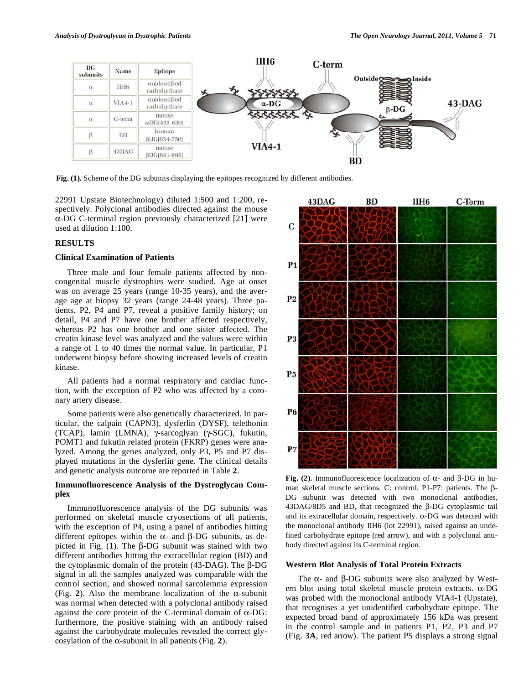

**Fig. (1).** Scheme of the DG subunits displaying the epitopes recognized by different antibodies.

22991 Upstate Biotechnology) diluted 1:500 and 1:200, respectively. Polyclonal antibodies directed against the mouse  $\alpha$ -DG C-terminal region previously characterized [21] were used at dilution 1:100.

# **RESULTS**

#### **Clinical Examination of Patients**

Three male and four female patients affected by noncongenital muscle dystrophies were studied. Age at onset was on average 25 years (range 10-35 years), and the average age at biopsy 32 years (range 24-48 years). Three patients, P2, P4 and P7, reveal a positive family history; on detail, P4 and P7 have one brother affected respectively, whereas P2 has one brother and one sister affected. The creatin kinase level was analyzed and the values were within a range of 1 to 40 times the normal value. In particular, P1 underwent biopsy before showing increased levels of creatin kinase.

All patients had a normal respiratory and cardiac function, with the exception of P2 who was affected by a coronary artery disease.

Some patients were also genetically characterized. In particular, the calpain (CAPN3), dysferlin (DYSF), telethonin (TCAP), lamin (LMNA), γ-sarcoglyan (γ-SGC), fukutin, POMT1 and fukutin related protein (FKRP) genes were analyzed. Among the genes analyzed, only P3, P5 and P7 displayed mutations in the dysferlin gene. The clinical details and genetic analysis outcome are reported in Table **2**.

# **Immunofluorescence Analysis of the Dystroglycan Complex**

Immunofluorescence analysis of the DG subunits was performed on skeletal muscle cryosections of all patients, with the exception of P4, using a panel of antibodies hitting different epitopes within the  $\alpha$ - and  $\beta$ -DG subunits, as depicted in Fig.  $(1)$ . The  $\beta$ -DG subunit was stained with two different antibodies hitting the extracellular region (BD) and the cytoplasmic domain of the protein  $(43-DAG)$ . The  $\beta$ -DG signal in all the samples analyzed was comparable with the control section, and showed normal sarcolemma expression (Fig. 2). Also the membrane localization of the  $\alpha$ -subunit was normal when detected with a polyclonal antibody raised against the core protein of the C-terminal domain of  $\alpha$ -DG: furthermore, the positive staining with an antibody raised against the carbohydrate molecules revealed the correct glycosylation of the  $\alpha$ -subunit in all patients (Fig. 2).



Fig. (2). Immunofluorescence localization of  $\alpha$ - and  $\beta$ -DG in human skeletal muscle sections. C: control, P1-P7: patients. The  $\beta$ -DG subunit was detected with two monoclonal antibodies,  $43DAG/8D5$  and BD, that recognized the  $\beta$ -DG cytoplasmic tail and its extracellular domain, respectively.  $\alpha$ -DG was detected with the monoclonal antibody IIH6 (lot 22991), raised against an undefined carbohydrate epitope (red arrow), and with a polyclonal antibody directed against its C-terminal region.

# **Western Blot Analysis of Total Protein Extracts**

The  $\alpha$ - and  $\beta$ -DG subunits were also analyzed by Western blot using total skeletal muscle protein extracts.  $\alpha$ -DG was probed with the monoclonal antibody VIA4-1 (Upstate), that recognises a yet unidentified carbohydrate epitope. The expected broad band of approximately 156 kDa was present in the control sample and in patients P1, P2, P3 and P7 (Fig. **3A**, red arrow). The patient P5 displays a strong signal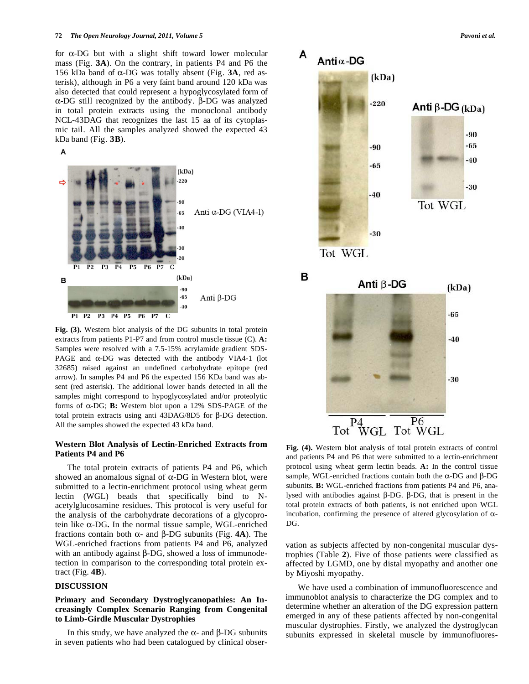for  $\alpha$ -DG but with a slight shift toward lower molecular mass (Fig. **3A**). On the contrary, in patients P4 and P6 the 156 kDa band of  $\alpha$ -DG was totally absent (Fig. **3A**, red asterisk), although in P6 a very faint band around 120 kDa was also detected that could represent a hypoglycosylated form of  $\alpha$ -DG still recognized by the antibody.  $\beta$ -DG was analyzed in total protein extracts using the monoclonal antibody NCL-43DAG that recognizes the last 15 aa of its cytoplasmic tail. All the samples analyzed showed the expected 43 kDa band (Fig. **3B**).





**Fig. (3).** Western blot analysis of the DG subunits in total protein extracts from patients P1-P7 and from control muscle tissue (C). **A:**  Samples were resolved with a 7.5-15% acrylamide gradient SDS-PAGE and  $\alpha$ -DG was detected with the antibody VIA4-1 (lot 32685) raised against an undefined carbohydrate epitope (red arrow). In samples P4 and P6 the expected 156 KDa band was absent (red asterisk). The additional lower bands detected in all the samples might correspond to hypoglycosylated and/or proteolytic forms of  $\alpha$ -DG; **B:** Western blot upon a 12% SDS-PAGE of the total protein extracts using anti  $43DAG/8D5$  for  $\beta$ -DG detection. All the samples showed the expected 43 kDa band.

# **Western Blot Analysis of Lectin-Enriched Extracts from Patients P4 and P6**

The total protein extracts of patients P4 and P6, which showed an anomalous signal of  $\alpha$ -DG in Western blot, were submitted to a lectin-enrichment protocol using wheat germ lectin (WGL) beads that specifically bind to Nacetylglucosamine residues. This protocol is very useful for the analysis of the carbohydrate decorations of a glycoprotein like  $\alpha$ -DG. In the normal tissue sample, WGL-enriched fractions contain both  $\alpha$ - and  $\beta$ -DG subunits (Fig. **4A**). The WGL-enriched fractions from patients P4 and P6, analyzed with an antibody against  $\beta$ -DG, showed a loss of immunodetection in comparison to the corresponding total protein extract (Fig. **4B**).

#### **DISCUSSION**

# **Primary and Secondary Dystroglycanopathies: An Increasingly Complex Scenario Ranging from Congenital to Limb-Girdle Muscular Dystrophies**

In this study, we have analyzed the  $\alpha$ - and  $\beta$ -DG subunits in seven patients who had been catalogued by clinical obser-



**Fig. (4).** Western blot analysis of total protein extracts of control and patients P4 and P6 that were submitted to a lectin-enrichment protocol using wheat germ lectin beads. **A:** In the control tissue sample, WGL-enriched fractions contain both the  $\alpha$ -DG and  $\beta$ -DG subunits. **B:** WGL-enriched fractions from patients P4 and P6, analysed with antibodies against  $\beta$ -DG.  $\beta$ -DG, that is present in the total protein extracts of both patients, is not enriched upon WGL incubation, confirming the presence of altered glycosylation of  $\alpha$ -DG.

Tot WGL Tot WGL

P4

P6

vation as subjects affected by non-congenital muscular dystrophies (Table **2**). Five of those patients were classified as affected by LGMD, one by distal myopathy and another one by Miyoshi myopathy.

We have used a combination of immunofluorescence and immunoblot analysis to characterize the DG complex and to determine whether an alteration of the DG expression pattern emerged in any of these patients affected by non-congenital muscular dystrophies. Firstly, we analyzed the dystroglycan subunits expressed in skeletal muscle by immunofluores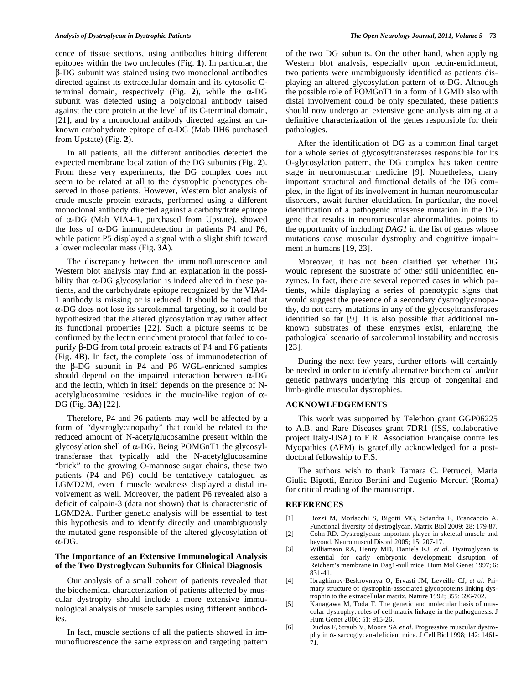cence of tissue sections, using antibodies hitting different epitopes within the two molecules (Fig. **1**). In particular, the --DG subunit was stained using two monoclonal antibodies directed against its extracellular domain and its cytosolic Cterminal domain, respectively (Fig. 2), while the  $\alpha$ -DG subunit was detected using a polyclonal antibody raised against the core protein at the level of its C-terminal domain, [21], and by a monoclonal antibody directed against an unknown carbohydrate epitope of  $\alpha$ -DG (Mab IIH6 purchased from Upstate) (Fig. **2**).

In all patients, all the different antibodies detected the expected membrane localization of the DG subunits (Fig. **2**). From these very experiments, the DG complex does not seem to be related at all to the dystrophic phenotypes observed in those patients. However, Western blot analysis of crude muscle protein extracts, performed using a different monoclonal antibody directed against a carbohydrate epitope of  $\alpha$ -DG (Mab VIA4-1, purchased from Upstate), showed the loss of  $\alpha$ -DG immunodetection in patients P4 and P6, while patient P5 displayed a signal with a slight shift toward a lower molecular mass (Fig. **3A**).

The discrepancy between the immunofluorescence and Western blot analysis may find an explanation in the possibility that  $\alpha$ -DG glycosylation is indeed altered in these patients, and the carbohydrate epitope recognized by the VIA4- 1 antibody is missing or is reduced. It should be noted that  $\alpha$ -DG does not lose its sarcolemmal targeting, so it could be hypothesized that the altered glycosylation may rather affect its functional properties [22]. Such a picture seems to be confirmed by the lectin enrichment protocol that failed to copurify  $\beta$ -DG from total protein extracts of P4 and P6 patients (Fig. **4B**). In fact, the complete loss of immunodetection of the  $\beta$ -DG subunit in P4 and P6 WGL-enriched samples should depend on the impaired interaction between  $\alpha$ -DG and the lectin, which in itself depends on the presence of Nacetylglucosamine residues in the mucin-like region of  $\alpha$ -DG (Fig. **3A**) [22].

Therefore, P4 and P6 patients may well be affected by a form of "dystroglycanopathy" that could be related to the reduced amount of N-acetylglucosamine present within the glycosylation shell of  $\alpha$ -DG. Being POMGnT1 the glycosyltransferase that typically add the N-acetylglucosamine "brick" to the growing O-mannose sugar chains, these two patients (P4 and P6) could be tentatively catalogued as LGMD2M, even if muscle weakness displayed a distal involvement as well. Moreover, the patient P6 revealed also a deficit of calpain-3 (data not shown) that is characteristic of LGMD2A. Further genetic analysis will be essential to test this hypothesis and to identify directly and unambiguously the mutated gene responsible of the altered glycosylation of  $\alpha$ -DG.

# **The Importance of an Extensive Immunological Analysis of the Two Dystroglycan Subunits for Clinical Diagnosis**

Our analysis of a small cohort of patients revealed that the biochemical characterization of patients affected by muscular dystrophy should include a more extensive immunological analysis of muscle samples using different antibodies.

In fact, muscle sections of all the patients showed in immunofluorescence the same expression and targeting pattern of the two DG subunits. On the other hand, when applying Western blot analysis, especially upon lectin-enrichment, two patients were unambiguously identified as patients displaying an altered glycosylation pattern of  $\alpha$ -DG. Although the possible role of POMGnT1 in a form of LGMD also with distal involvement could be only speculated, these patients should now undergo an extensive gene analysis aiming at a definitive characterization of the genes responsible for their pathologies.

After the identification of DG as a common final target for a whole series of glycosyltransferases responsible for its O-glycosylation pattern, the DG complex has taken centre stage in neuromuscular medicine [9]. Nonetheless, many important structural and functional details of the DG complex, in the light of its involvement in human neuromuscular disorders, await further elucidation. In particular, the novel identification of a pathogenic missense mutation in the DG gene that results in neuromuscular abnormalities, points to the opportunity of including *DAG1* in the list of genes whose mutations cause muscular dystrophy and cognitive impairment in humans [19, 23].

Moreover, it has not been clarified yet whether DG would represent the substrate of other still unidentified enzymes. In fact, there are several reported cases in which patients, while displaying a series of phenotypic signs that would suggest the presence of a secondary dystroglycanopathy, do not carry mutations in any of the glycosyltransferases identified so far [9]. It is also possible that additional unknown substrates of these enzymes exist, enlarging the pathological scenario of sarcolemmal instability and necrosis [23].

During the next few years, further efforts will certainly be needed in order to identify alternative biochemical and/or genetic pathways underlying this group of congenital and limb-girdle muscular dystrophies.

#### **ACKNOWLEDGEMENTS**

This work was supported by Telethon grant GGP06225 to A.B. and Rare Diseases grant 7DR1 (ISS, collaborative project Italy-USA) to E.R. Association Française contre les Myopathies (AFM) is gratefully acknowledged for a postdoctoral fellowship to F.S.

The authors wish to thank Tamara C. Petrucci, Maria Giulia Bigotti, Enrico Bertini and Eugenio Mercuri (Roma) for critical reading of the manuscript.

### **REFERENCES**

- [1] Bozzi M, Morlacchi S, Bigotti MG, Sciandra F, Brancaccio A. Functional diversity of dystroglycan. Matrix Biol 2009; 28: 179-87.
- [2] Cohn RD. Dystroglycan: important player in skeletal muscle and beyond. Neuromuscul Disord 2005; 15: 207-17.
- [3] Williamson RA, Henry MD, Daniels KJ, *et al.* Dystroglycan is essential for early embryonic development: disruption of Reichert's membrane in Dag1-null mice. Hum Mol Genet 1997; 6: 831-41.
- [4] Ibraghimov-Beskrovnaya O, Ervasti JM, Leveille CJ, *et al.* Primary structure of dystrophin-associated glycoproteins linking dystrophin to the extracellular matrix. Nature 1992; 355: 696-702.
- [5] Kanagawa M, Toda T. The genetic and molecular basis of muscular dystrophy: roles of cell-matrix linkage in the pathogenesis. J Hum Genet 2006; 51: 915-26.
- [6] Duclos F, Straub V, Moore SA *et al.* Progressive muscular dystrophy in  $\alpha$ - sarcoglycan-deficient mice. J Cell Biol 1998; 142: 1461-71.